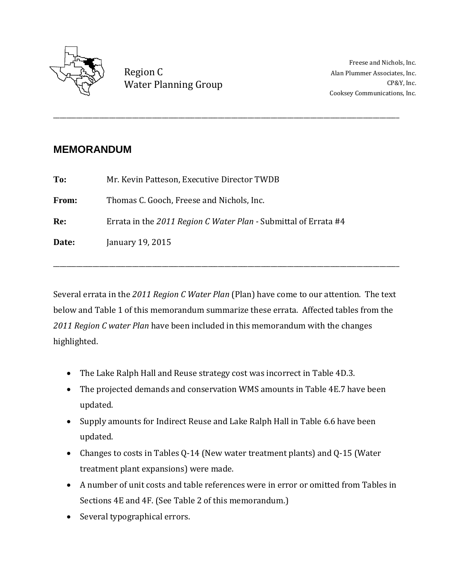

Region C Water Planning Group CP&Y, Inc.

Freese and Nichols, Inc. Alan Plummer Associates, Inc. Cooksey Communications, Inc.

## **MEMORANDUM**

| To:   | Mr. Kevin Patteson, Executive Director TWDB                     |
|-------|-----------------------------------------------------------------|
| From: | Thomas C. Gooch, Freese and Nichols, Inc.                       |
| Re:   | Errata in the 2011 Region C Water Plan - Submittal of Errata #4 |
| Date: | January 19, 2015                                                |
|       |                                                                 |

Several errata in the *2011 Region C Water Plan* (Plan) have come to our attention. The text below and Table 1 of this memorandum summarize these errata. Affected tables from the *2011 Region C water Plan* have been included in this memorandum with the changes highlighted.

\_\_\_\_\_\_\_\_\_\_\_\_\_\_\_\_\_\_\_\_\_\_\_\_\_\_\_\_\_\_\_\_\_\_\_\_\_\_\_\_\_\_\_\_\_\_\_\_\_\_\_\_\_\_\_\_\_\_\_\_\_\_\_\_\_\_\_\_\_\_\_\_\_\_\_\_\_\_\_\_\_\_\_\_\_\_\_\_\_\_\_\_\_\_\_\_\_\_\_\_\_\_\_\_\_

- The Lake Ralph Hall and Reuse strategy cost was incorrect in Table 4D.3.
- The projected demands and conservation WMS amounts in Table 4E.7 have been updated.
- Supply amounts for Indirect Reuse and Lake Ralph Hall in Table 6.6 have been updated.
- Changes to costs in Tables Q-14 (New water treatment plants) and Q-15 (Water treatment plant expansions) were made.
- A number of unit costs and table references were in error or omitted from Tables in Sections 4E and 4F. (See Table 2 of this memorandum.)
- Several typographical errors.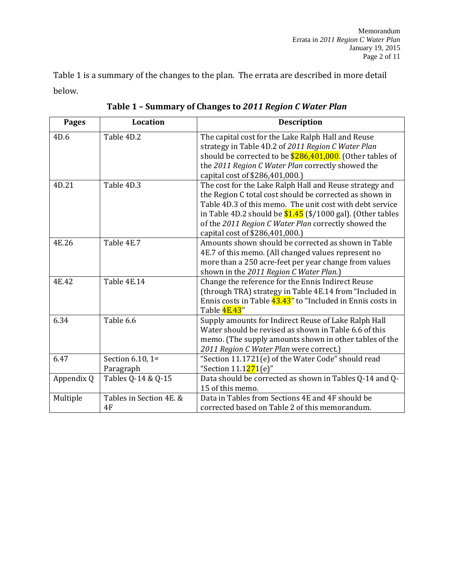Table 1 is a summary of the changes to the plan. The errata are described in more detail below.

| <b>Pages</b> | <b>Location</b>                | <b>Description</b>                                                                                                                                                                                                                                                                                                                        |
|--------------|--------------------------------|-------------------------------------------------------------------------------------------------------------------------------------------------------------------------------------------------------------------------------------------------------------------------------------------------------------------------------------------|
| 4D.6         | Table 4D.2                     | The capital cost for the Lake Ralph Hall and Reuse<br>strategy in Table 4D.2 of 2011 Region C Water Plan<br>should be corrected to be $$286,401,000$ . (Other tables of<br>the 2011 Region C Water Plan correctly showed the<br>capital cost of \$286,401,000.)                                                                           |
| 4D.21        | Table 4D.3                     | The cost for the Lake Ralph Hall and Reuse strategy and<br>the Region C total cost should be corrected as shown in<br>Table 4D.3 of this memo. The unit cost with debt service<br>in Table 4D.2 should be $$1.45$ (\$/1000 gal). (Other tables<br>of the 2011 Region C Water Plan correctly showed the<br>capital cost of \$286,401,000.) |
| 4E.26        | Table 4E.7                     | Amounts shown should be corrected as shown in Table<br>4E.7 of this memo. (All changed values represent no<br>more than a 250 acre-feet per year change from values<br>shown in the 2011 Region C Water Plan.)                                                                                                                            |
| 4E.42        | Table 4E.14                    | Change the reference for the Ennis Indirect Reuse<br>(through TRA) strategy in Table 4E.14 from "Included in<br>Ennis costs in Table 43.43" to "Included in Ennis costs in<br>Table 4E.43"                                                                                                                                                |
| 6.34         | Table 6.6                      | Supply amounts for Indirect Reuse of Lake Ralph Hall<br>Water should be revised as shown in Table 6.6 of this<br>memo. (The supply amounts shown in other tables of the<br>2011 Region C Water Plan were correct.)                                                                                                                        |
| 6.47         | Section 6.10, 1st<br>Paragraph | "Section 11.1721(e) of the Water Code" should read<br>"Section 11.1 <mark>27</mark> 1(e)"                                                                                                                                                                                                                                                 |
| Appendix Q   | Tables Q-14 & Q-15             | Data should be corrected as shown in Tables Q-14 and Q-<br>15 of this memo.                                                                                                                                                                                                                                                               |
| Multiple     | Tables in Section 4E. &<br>4F  | Data in Tables from Sections 4E and 4F should be<br>corrected based on Table 2 of this memorandum.                                                                                                                                                                                                                                        |

**Table 1 – Summary of Changes to** *2011 Region C Water Plan*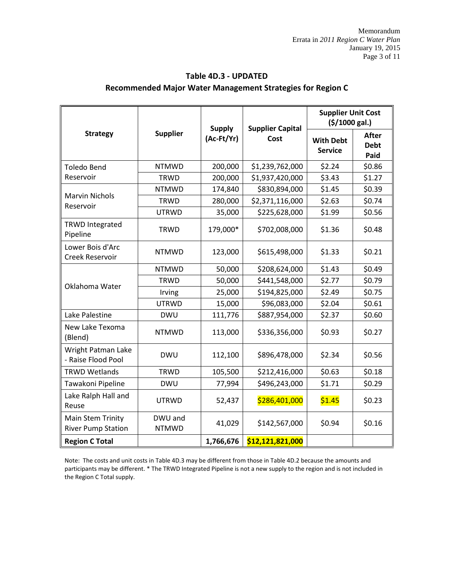|                                                |                         | <b>Supply</b> | <b>Supplier Capital</b> | <b>Supplier Unit Cost</b><br>(5/1000 gal.) |                                     |  |
|------------------------------------------------|-------------------------|---------------|-------------------------|--------------------------------------------|-------------------------------------|--|
| <b>Strategy</b>                                | <b>Supplier</b>         | (Ac-Ft/Yr)    | Cost                    | <b>With Debt</b><br><b>Service</b>         | <b>After</b><br><b>Debt</b><br>Paid |  |
| <b>Toledo Bend</b>                             | <b>NTMWD</b>            | 200,000       | \$1,239,762,000         | \$2.24                                     | \$0.86                              |  |
| Reservoir                                      | <b>TRWD</b>             | 200,000       | \$1,937,420,000         | \$3.43                                     | \$1.27                              |  |
|                                                | <b>NTMWD</b>            | 174,840       | \$830,894,000           | \$1.45                                     | \$0.39                              |  |
| <b>Marvin Nichols</b><br>Reservoir             | <b>TRWD</b>             | 280,000       | \$2,371,116,000         | \$2.63                                     | \$0.74                              |  |
|                                                | <b>UTRWD</b>            | 35,000        | \$225,628,000           | \$1.99                                     | \$0.56                              |  |
| <b>TRWD Integrated</b><br>Pipeline             | <b>TRWD</b>             | 179,000*      | \$702,008,000           | \$1.36                                     | \$0.48                              |  |
| Lower Bois d'Arc<br>Creek Reservoir            | <b>NTMWD</b>            | 123,000       | \$615,498,000           | \$1.33                                     | \$0.21                              |  |
|                                                | <b>NTMWD</b>            | 50,000        | \$208,624,000           | \$1.43                                     | \$0.49                              |  |
| Oklahoma Water                                 | <b>TRWD</b>             | 50,000        | \$441,548,000           | \$2.77                                     | \$0.79                              |  |
|                                                | Irving                  | 25,000        | \$194,825,000           | \$2.49                                     | \$0.75                              |  |
|                                                | <b>UTRWD</b>            | 15,000        | \$96,083,000            | \$2.04                                     | \$0.61                              |  |
| Lake Palestine                                 | <b>DWU</b>              | 111,776       | \$887,954,000           | \$2.37                                     | \$0.60                              |  |
| New Lake Texoma<br>(Blend)                     | <b>NTMWD</b>            | 113,000       | \$336,356,000           | \$0.93                                     | \$0.27                              |  |
| Wright Patman Lake<br>- Raise Flood Pool       | <b>DWU</b>              | 112,100       | \$896,478,000           | \$2.34                                     | \$0.56                              |  |
| <b>TRWD Wetlands</b>                           | <b>TRWD</b>             | 105,500       | \$212,416,000           | \$0.63                                     | \$0.18                              |  |
| Tawakoni Pipeline                              | <b>DWU</b>              | 77,994        | \$496,243,000           | \$1.71                                     | \$0.29                              |  |
| Lake Ralph Hall and<br>Reuse                   | <b>UTRWD</b>            | 52,437        | \$286,401,000           | \$1.45                                     | \$0.23                              |  |
| Main Stem Trinity<br><b>River Pump Station</b> | DWU and<br><b>NTMWD</b> | 41,029        | \$142,567,000           | \$0.94                                     | \$0.16                              |  |
| <b>Region C Total</b>                          |                         | 1,766,676     | \$12,121,821,000        |                                            |                                     |  |

## **Table 4D.3 - UPDATED Recommended Major Water Management Strategies for Region C**

Note: The costs and unit costs in Table 4D.3 may be different from those in Table 4D.2 because the amounts and participants may be different. \* The TRWD Integrated Pipeline is not a new supply to the region and is not included in the Region C Total supply.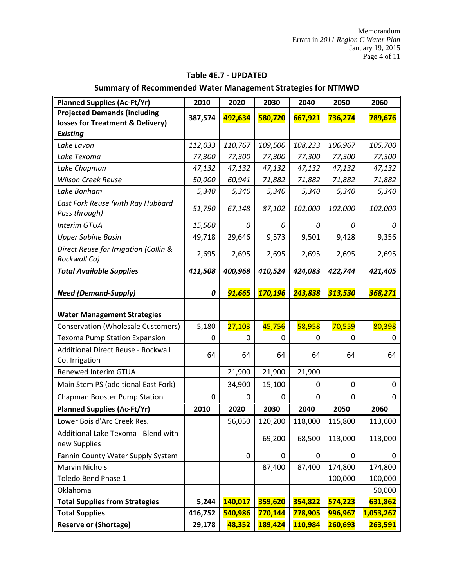| <b>Planned Supplies (Ac-Ft/Yr)</b>                                      | 2010    | 2020    | 2030    | 2040    | 2050      | 2060      |
|-------------------------------------------------------------------------|---------|---------|---------|---------|-----------|-----------|
| <b>Projected Demands (including</b><br>losses for Treatment & Delivery) | 387,574 | 492,634 | 580,720 | 667,921 | 736,274   | 789,676   |
| <b>Existing</b>                                                         |         |         |         |         |           |           |
| Lake Lavon                                                              | 112,033 | 110,767 | 109,500 | 108,233 | 106,967   | 105,700   |
| Lake Texoma                                                             | 77,300  | 77,300  | 77,300  | 77,300  | 77,300    | 77,300    |
| Lake Chapman                                                            | 47,132  | 47,132  | 47,132  | 47,132  | 47,132    | 47,132    |
| <b>Wilson Creek Reuse</b>                                               | 50,000  | 60,941  | 71,882  | 71,882  | 71,882    | 71,882    |
| Lake Bonham                                                             | 5,340   | 5,340   | 5,340   | 5,340   | 5,340     | 5,340     |
| East Fork Reuse (with Ray Hubbard<br>Pass through)                      | 51,790  | 67,148  | 87,102  | 102,000 | 102,000   | 102,000   |
| <b>Interim GTUA</b>                                                     | 15,500  | 0       | 0       | 0       | 0         | 0         |
| <b>Upper Sabine Basin</b>                                               | 49,718  | 29,646  | 9,573   | 9,501   | 9,428     | 9,356     |
| Direct Reuse for Irrigation (Collin &<br>Rockwall Co)                   | 2,695   | 2,695   | 2,695   | 2,695   | 2,695     | 2,695     |
| <b>Total Available Supplies</b>                                         | 411,508 | 400,968 | 410,524 | 424,083 | 422,744   | 421,405   |
|                                                                         |         |         |         |         |           |           |
| <b>Need (Demand-Supply)</b>                                             | 0       | 91,665  | 170,196 | 243,838 | 313,530   | 368,271   |
|                                                                         |         |         |         |         |           |           |
| <b>Water Management Strategies</b>                                      |         |         |         |         |           |           |
| Conservation (Wholesale Customers)                                      | 5,180   | 27,103  | 45,756  | 58,958  | 70,559    | 80,398    |
| <b>Texoma Pump Station Expansion</b>                                    | 0       | 0       | 0       | 0       | 0         | 0         |
| Additional Direct Reuse - Rockwall<br>Co. Irrigation                    | 64      | 64      | 64      | 64      | 64        | 64        |
| Renewed Interim GTUA                                                    |         | 21,900  | 21,900  | 21,900  |           |           |
| Main Stem PS (additional East Fork)                                     |         | 34,900  | 15,100  | 0       | 0         | 0         |
| Chapman Booster Pump Station                                            | 0       | 0       | 0       | 0       | $\pmb{0}$ | 0         |
| <b>Planned Supplies (Ac-Ft/Yr)</b>                                      | 2010    | 2020    | 2030    | 2040    | 2050      | 2060      |
| Lower Bois d'Arc Creek Res.                                             |         | 56,050  | 120,200 | 118,000 | 115,800   | 113,600   |
| Additional Lake Texoma - Blend with<br>new Supplies                     |         |         | 69,200  | 68,500  | 113,000   | 113,000   |
| Fannin County Water Supply System                                       |         | 0       | 0       | 0       | 0         | 0         |
| Marvin Nichols                                                          |         |         | 87,400  | 87,400  | 174,800   | 174,800   |
| Toledo Bend Phase 1                                                     |         |         |         |         | 100,000   | 100,000   |
| Oklahoma                                                                |         |         |         |         |           | 50,000    |
| <b>Total Supplies from Strategies</b>                                   | 5,244   | 140,017 | 359,620 | 354,822 | 574,223   | 631,862   |
| <b>Total Supplies</b>                                                   | 416,752 | 540,986 | 770,144 | 778,905 | 996,967   | 1,053,267 |
| <b>Reserve or (Shortage)</b>                                            | 29,178  | 48,352  | 189,424 | 110,984 | 260,693   | 263,591   |

### **Table 4E.7 - UPDATED**

## **Summary of Recommended Water Management Strategies for NTMWD**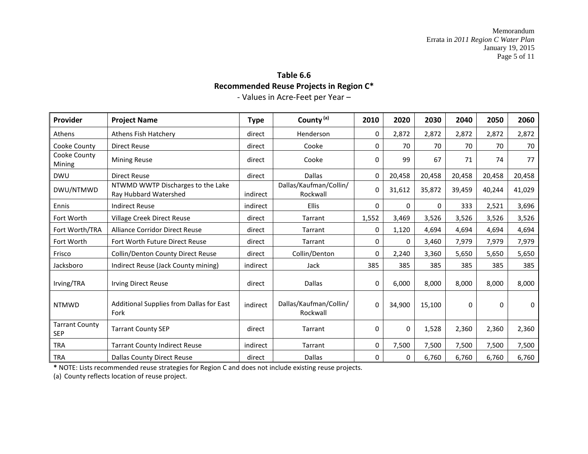# **Table 6.6 Recommended Reuse Projects in Region C\***

- Values in Acre-Feet per Year –

| Provider                            | <b>Project Name</b>                                        | <b>Type</b> | County <sup>(a)</sup>              | 2010     | 2020     | 2030   | 2040   | 2050   | 2060   |
|-------------------------------------|------------------------------------------------------------|-------------|------------------------------------|----------|----------|--------|--------|--------|--------|
| Athens                              | Athens Fish Hatchery                                       | direct      | Henderson                          | 0        | 2,872    | 2,872  | 2,872  | 2,872  | 2,872  |
| Cooke County                        | <b>Direct Reuse</b>                                        | direct      | Cooke                              | 0        | 70       | 70     | 70     | 70     | 70     |
| Cooke County<br>Mining              | <b>Mining Reuse</b>                                        | direct      | Cooke                              | 0        | 99       | 67     | 71     | 74     | 77     |
| <b>DWU</b>                          | <b>Direct Reuse</b>                                        | direct      | <b>Dallas</b>                      | 0        | 20,458   | 20,458 | 20,458 | 20,458 | 20,458 |
| DWU/NTMWD                           | NTWMD WWTP Discharges to the Lake<br>Ray Hubbard Watershed | indirect    | Dallas/Kaufman/Collin/<br>Rockwall | $\Omega$ | 31,612   | 35,872 | 39,459 | 40,244 | 41,029 |
| Ennis                               | <b>Indirect Reuse</b>                                      | indirect    | <b>Ellis</b>                       | 0        | $\Omega$ | 0      | 333    | 2,521  | 3,696  |
| Fort Worth                          | Village Creek Direct Reuse                                 | direct      | Tarrant                            | 1,552    | 3,469    | 3,526  | 3,526  | 3,526  | 3,526  |
| Fort Worth/TRA                      | Alliance Corridor Direct Reuse                             | direct      | Tarrant                            | 0        | 1,120    | 4,694  | 4,694  | 4,694  | 4,694  |
| Fort Worth                          | Fort Worth Future Direct Reuse                             | direct      | Tarrant                            | 0        | 0        | 3,460  | 7,979  | 7,979  | 7,979  |
| Frisco                              | Collin/Denton County Direct Reuse                          | direct      | Collin/Denton                      | 0        | 2,240    | 3,360  | 5,650  | 5,650  | 5,650  |
| Jacksboro                           | Indirect Reuse (Jack County mining)                        | indirect    | Jack                               | 385      | 385      | 385    | 385    | 385    | 385    |
| Irving/TRA                          | <b>Irving Direct Reuse</b>                                 | direct      | <b>Dallas</b>                      | 0        | 6,000    | 8,000  | 8,000  | 8,000  | 8,000  |
| <b>NTMWD</b>                        | Additional Supplies from Dallas for East<br>Fork           | indirect    | Dallas/Kaufman/Collin/<br>Rockwall | 0        | 34,900   | 15,100 | 0      | 0      | 0      |
| <b>Tarrant County</b><br><b>SEP</b> | <b>Tarrant County SEP</b>                                  | direct      | Tarrant                            | 0        | $\Omega$ | 1,528  | 2,360  | 2,360  | 2,360  |
| <b>TRA</b>                          | <b>Tarrant County Indirect Reuse</b>                       | indirect    | Tarrant                            | 0        | 7,500    | 7,500  | 7,500  | 7,500  | 7,500  |
| <b>TRA</b>                          | <b>Dallas County Direct Reuse</b>                          | direct      | <b>Dallas</b>                      | 0        | 0        | 6,760  | 6,760  | 6,760  | 6,760  |

**\*** NOTE: Lists recommended reuse strategies for Region C and does not include existing reuse projects.

(a) County reflects location of reuse project.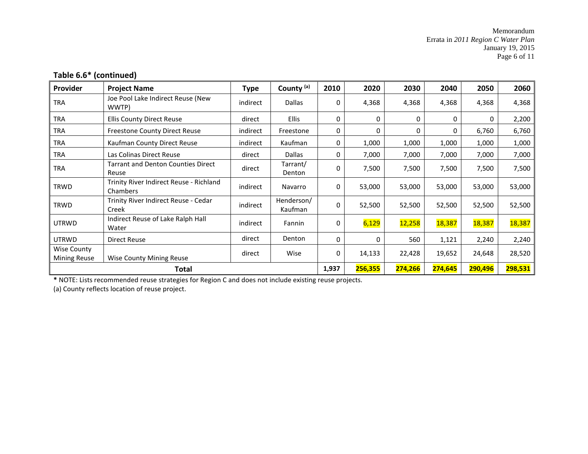Memorandum Errata in *2011 Region C Water Plan* January 19, 2015 Page 6 of 11

### **Table 6.6\* (continued)**

| Provider                           | <b>Project Name</b>                                 | Type     | County <sup>(a)</sup> | 2010  | 2020    | 2030          | 2040     | 2050    | 2060    |
|------------------------------------|-----------------------------------------------------|----------|-----------------------|-------|---------|---------------|----------|---------|---------|
| <b>TRA</b>                         | Joe Pool Lake Indirect Reuse (New<br>WWTP)          | indirect | <b>Dallas</b>         | 0     | 4,368   | 4,368         | 4,368    | 4,368   | 4,368   |
| <b>TRA</b>                         | <b>Ellis County Direct Reuse</b>                    | direct   | <b>Ellis</b>          | 0     | 0       | 0             | $\Omega$ | 0       | 2,200   |
| <b>TRA</b>                         | <b>Freestone County Direct Reuse</b>                | indirect | Freestone             | 0     | 0       | 0             | 0        | 6,760   | 6,760   |
| <b>TRA</b>                         | Kaufman County Direct Reuse                         | indirect | Kaufman               | 0     | 1,000   | 1,000         | 1,000    | 1,000   | 1,000   |
| <b>TRA</b>                         | Las Colinas Direct Reuse                            | direct   | <b>Dallas</b>         | 0     | 7,000   | 7,000         | 7,000    | 7,000   | 7,000   |
| <b>TRA</b>                         | <b>Tarrant and Denton Counties Direct</b><br>Reuse  | direct   | Tarrant/<br>Denton    | 0     | 7,500   | 7,500         | 7,500    | 7,500   | 7,500   |
| <b>TRWD</b>                        | Trinity River Indirect Reuse - Richland<br>Chambers | indirect | Navarro               | 0     | 53,000  | 53,000        | 53,000   | 53,000  | 53,000  |
| <b>TRWD</b>                        | Trinity River Indirect Reuse - Cedar<br>Creek       | indirect | Henderson/<br>Kaufman | 0     | 52,500  | 52,500        | 52,500   | 52,500  | 52,500  |
| <b>UTRWD</b>                       | Indirect Reuse of Lake Ralph Hall<br>Water          | indirect | Fannin                | 0     | 6,129   | <b>12,258</b> | 18,387   | 18,387  | 18,387  |
| <b>UTRWD</b>                       | <b>Direct Reuse</b>                                 | direct   | Denton                | 0     | 0       | 560           | 1,121    | 2,240   | 2,240   |
| Wise County<br><b>Mining Reuse</b> | <b>Wise County Mining Reuse</b>                     | direct   | Wise                  | 0     | 14,133  | 22,428        | 19,652   | 24,648  | 28,520  |
|                                    | Total                                               |          |                       | 1,937 | 256,355 | 274,266       | 274,645  | 290,496 | 298,531 |

**\*** NOTE: Lists recommended reuse strategies for Region C and does not include existing reuse projects.

(a) County reflects location of reuse project.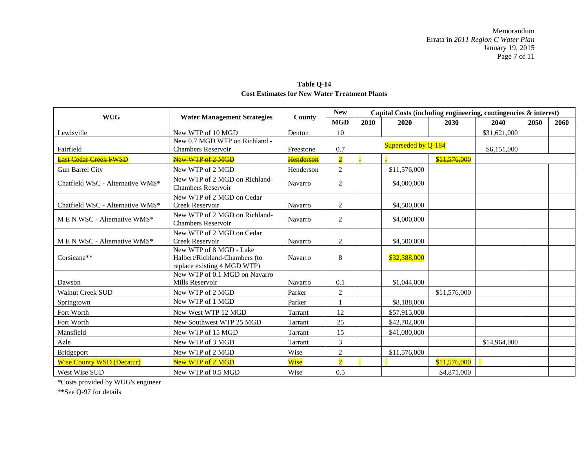|                                  |                                                                                         |                | <b>New</b>     |      | Capital Costs (including engineering, contingencies $\&$ interest) |              |              |      |      |
|----------------------------------|-----------------------------------------------------------------------------------------|----------------|----------------|------|--------------------------------------------------------------------|--------------|--------------|------|------|
| <b>WUG</b>                       | <b>Water Management Strategies</b>                                                      | County         | <b>MGD</b>     | 2010 | 2020                                                               | 2030         | 2040         | 2050 | 2060 |
| Lewisville                       | New WTP of 10 MGD                                                                       | Denton         | 10             |      |                                                                    |              | \$31,621,000 |      |      |
| Fairfield                        | New 0.7 MGD WTP on Richland<br><b>Chambers Reservoir</b>                                | Freestone      | 0.7            |      | Superseded by Q-184                                                |              | \$6,151,000  |      |      |
| <b>East Cedar Creek FWSD</b>     | New WTP of 2 MGD                                                                        | Henderson      | $\overline{2}$ |      |                                                                    | \$11,576,000 |              |      |      |
| Gun Barrel City                  | New WTP of 2 MGD                                                                        | Henderson      | $\overline{2}$ |      | \$11,576,000                                                       |              |              |      |      |
| Chatfield WSC - Alternative WMS* | New WTP of 2 MGD on Richland-<br><b>Chambers Reservoir</b>                              | Navarro        | 2              |      | \$4,000,000                                                        |              |              |      |      |
| Chatfield WSC - Alternative WMS* | New WTP of 2 MGD on Cedar<br>Creek Reservoir                                            | <b>Navarro</b> | $\overline{2}$ |      | \$4,500,000                                                        |              |              |      |      |
| M E N WSC - Alternative WMS*     | New WTP of 2 MGD on Richland-<br><b>Chambers Reservoir</b>                              | <b>Navarro</b> | 2              |      | \$4,000,000                                                        |              |              |      |      |
| M E N WSC - Alternative WMS*     | New WTP of 2 MGD on Cedar<br>Creek Reservoir                                            | <b>Navarro</b> | 2              |      | \$4,500,000                                                        |              |              |      |      |
| Corsicana**                      | New WTP of 8 MGD - Lake<br>Halbert/Richland-Chambers (to<br>replace existing 4 MGD WTP) | Navarro        | 8              |      | \$32,388,000                                                       |              |              |      |      |
| Dawson                           | New WTP of 0.1 MGD on Navarro<br>Mills Reservoir                                        | <b>Navarro</b> | 0.1            |      | \$1,044,000                                                        |              |              |      |      |
| <b>Walnut Creek SUD</b>          | New WTP of 2 MGD                                                                        | Parker         | $\overline{2}$ |      |                                                                    | \$11,576,000 |              |      |      |
| Springtown                       | New WTP of 1 MGD                                                                        | Parker         |                |      | \$8,188,000                                                        |              |              |      |      |
| Fort Worth                       | New West WTP 12 MGD                                                                     | Tarrant        | 12             |      | \$57,915,000                                                       |              |              |      |      |
| Fort Worth                       | New Southwest WTP 25 MGD                                                                | <b>Tarrant</b> | 25             |      | \$42,702,000                                                       |              |              |      |      |
| Mansfield                        | New WTP of 15 MGD                                                                       | <b>Tarrant</b> | 15             |      | \$41,080,000                                                       |              |              |      |      |
| Azle                             | New WTP of 3 MGD                                                                        | Tarrant        | 3              |      |                                                                    |              | \$14,964,000 |      |      |
| <b>Bridgeport</b>                | New WTP of 2 MGD                                                                        | Wise           | $\overline{2}$ |      | \$11,576,000                                                       |              |              |      |      |
| <b>Wise County WSD (Decatur)</b> | New WTP of 2 MGD                                                                        | Wise           | $\overline{2}$ |      |                                                                    | \$11,576,000 |              |      |      |
| West Wise SUD                    | New WTP of 0.5 MGD                                                                      | Wise           | 0.5            |      |                                                                    | \$4,871,000  |              |      |      |

**Table Q-14 Cost Estimates for New Water Treatment Plants**

\*Costs provided by WUG's engineer

\*\*See Q-97 for details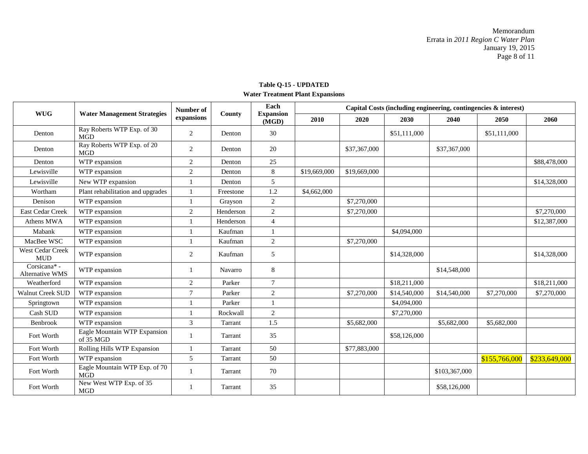### **Table Q-15 - UPDATED Water Treatment Plant Expansions**

|                                |                                             | <b>Number of</b> |           | Each<br><b>Expansion</b><br>(MGD) | Capital Costs (including engineering, contingencies & interest) |              |              |               |               |               |  |
|--------------------------------|---------------------------------------------|------------------|-----------|-----------------------------------|-----------------------------------------------------------------|--------------|--------------|---------------|---------------|---------------|--|
| <b>WUG</b>                     | <b>Water Management Strategies</b>          | expansions       | County    |                                   | 2010                                                            | 2020         | 2030         | 2040          | 2050          | 2060          |  |
| Denton                         | Ray Roberts WTP Exp. of 30<br><b>MGD</b>    | 2                | Denton    | 30                                |                                                                 |              | \$51,111,000 |               | \$51,111,000  |               |  |
| Denton                         | Ray Roberts WTP Exp. of 20<br><b>MGD</b>    | $\overline{2}$   | Denton    | 20                                |                                                                 | \$37,367,000 |              | \$37,367,000  |               |               |  |
| Denton                         | WTP expansion                               | 2                | Denton    | 25                                |                                                                 |              |              |               |               | \$88,478,000  |  |
| Lewisville                     | WTP expansion                               | 2                | Denton    | $\,8\,$                           | \$19,669,000                                                    | \$19,669,000 |              |               |               |               |  |
| Lewisville                     | New WTP expansion                           |                  | Denton    | 5                                 |                                                                 |              |              |               |               | \$14,328,000  |  |
| Wortham                        | Plant rehabilitation and upgrades           |                  | Freestone | 1.2                               | \$4,662,000                                                     |              |              |               |               |               |  |
| Denison                        | WTP expansion                               |                  | Grayson   | 2                                 |                                                                 | \$7,270,000  |              |               |               |               |  |
| East Cedar Creek               | WTP expansion                               | 2                | Henderson | $\overline{c}$                    |                                                                 | \$7,270,000  |              |               |               | \$7,270,000   |  |
| Athens MWA                     | WTP expansion                               |                  | Henderson | $\overline{4}$                    |                                                                 |              |              |               |               | \$12,387,000  |  |
| Mabank                         | WTP expansion                               |                  | Kaufman   |                                   |                                                                 |              | \$4,094,000  |               |               |               |  |
| MacBee WSC                     | WTP expansion                               |                  | Kaufman   | $\overline{2}$                    |                                                                 | \$7,270,000  |              |               |               |               |  |
| <b>West Cedar Creek</b><br>MUD | WTP expansion                               | 2                | Kaufman   | 5                                 |                                                                 |              | \$14,328,000 |               |               | \$14,328,000  |  |
| Corsicana*-<br>Alternative WMS | WTP expansion                               | $\mathbf{1}$     | Navarro   | $\,8\,$                           |                                                                 |              |              | \$14,548,000  |               |               |  |
| Weatherford                    | WTP expansion                               | 2                | Parker    | $\tau$                            |                                                                 |              | \$18,211,000 |               |               | \$18,211,000  |  |
| <b>Walnut Creek SUD</b>        | WTP expansion                               | 7                | Parker    | $\overline{2}$                    |                                                                 | \$7,270,000  | \$14,540,000 | \$14,540,000  | \$7,270,000   | \$7,270,000   |  |
| Springtown                     | WTP expansion                               |                  | Parker    |                                   |                                                                 |              | \$4,094,000  |               |               |               |  |
| Cash SUD                       | WTP expansion                               |                  | Rockwall  | $\overline{c}$                    |                                                                 |              | \$7,270,000  |               |               |               |  |
| Benbrook                       | WTP expansion                               | 3                | Tarrant   | 1.5                               |                                                                 | \$5,682,000  |              | \$5,682,000   | \$5,682,000   |               |  |
| Fort Worth                     | Eagle Mountain WTP Expansion<br>of 35 MGD   |                  | Tarrant   | 35                                |                                                                 |              | \$58,126,000 |               |               |               |  |
| Fort Worth                     | Rolling Hills WTP Expansion                 | $\mathbf{1}$     | Tarrant   | 50                                |                                                                 | \$77,883,000 |              |               |               |               |  |
| Fort Worth                     | WTP expansion                               | 5                | Tarrant   | 50                                |                                                                 |              |              |               | \$155,766,000 | \$233,649,000 |  |
| Fort Worth                     | Eagle Mountain WTP Exp. of 70<br><b>MGD</b> |                  | Tarrant   | 70                                |                                                                 |              |              | \$103,367,000 |               |               |  |
| Fort Worth                     | New West WTP Exp. of 35<br><b>MGD</b>       |                  | Tarrant   | 35                                |                                                                 |              |              | \$58,126,000  |               |               |  |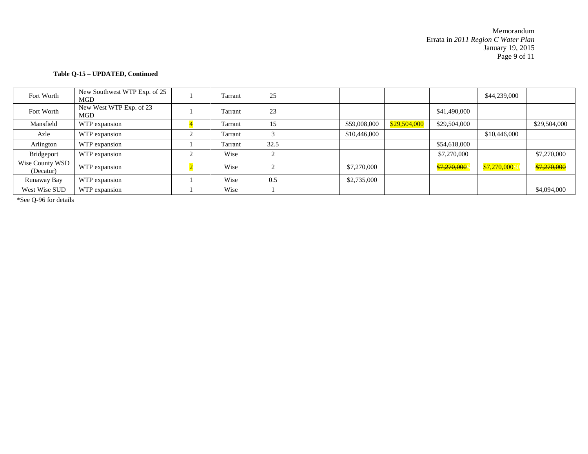Memorandum Errata in *2011 Region C Water Plan* January 19, 2015 Page 9 of 11

#### **Table Q-15 – UPDATED, Continued**

| Fort Worth                   | New Southwest WTP Exp. of 25<br>MGD | Tarrant | 25        |              |              |                        | \$44,239,000  |              |
|------------------------------|-------------------------------------|---------|-----------|--------------|--------------|------------------------|---------------|--------------|
| Fort Worth                   | New West WTP Exp. of 23<br>MGD      | Tarrant | 23        |              |              | \$41,490,000           |               |              |
| Mansfield                    | WTP expansion                       | Tarrant | 15        | \$59,008,000 | \$29,504,000 | \$29,504,000           |               | \$29,504,000 |
| Azle                         | WTP expansion                       | Tarrant | 3         | \$10,446,000 |              |                        | \$10,446,000  |              |
| Arlington                    | WTP expansion                       | Tarrant | 32.5      |              |              | \$54,618,000           |               |              |
| Bridgeport                   | WTP expansion                       | Wise    | $\bigcap$ |              |              | \$7,270,000            |               | \$7,270,000  |
| Wise County WSD<br>(Decatur) | WTP expansion                       | Wise    | $\bigcap$ | \$7,270,000  |              | <del>\$7,270,000</del> | \$7,270,000\$ | \$7,270,000  |
| Runaway Bay                  | WTP expansion                       | Wise    | 0.5       | \$2,735,000  |              |                        |               |              |
| West Wise SUD                | WTP expansion                       | Wise    |           |              |              |                        |               | \$4,094,000  |

\*See Q-96 for details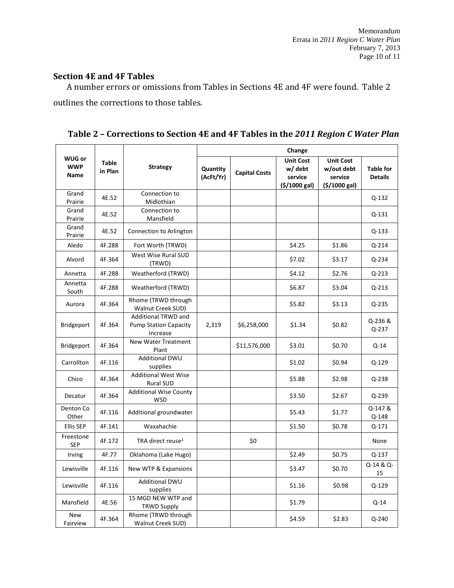### **Section 4E and 4F Tables**

A number errors or omissions from Tables in Sections 4E and 4F were found. Table 2 outlines the corrections to those tables.

|                                            |                  |                                                                        |                       | Change               |                                                        |                                                           |                                    |  |  |  |  |
|--------------------------------------------|------------------|------------------------------------------------------------------------|-----------------------|----------------------|--------------------------------------------------------|-----------------------------------------------------------|------------------------------------|--|--|--|--|
| <b>WUG or</b><br><b>WWP</b><br><b>Name</b> | Table<br>in Plan | <b>Strategy</b>                                                        | Quantity<br>(AcFt/Yr) | <b>Capital Costs</b> | <b>Unit Cost</b><br>w/ debt<br>service<br>(5/1000 gal) | <b>Unit Cost</b><br>w/out debt<br>service<br>(5/1000 gal) | <b>Table for</b><br><b>Details</b> |  |  |  |  |
| Grand<br>Prairie                           | 4E.52            | Connection to<br>Midlothian                                            |                       |                      |                                                        |                                                           | Q-132                              |  |  |  |  |
| Grand<br>Prairie                           | 4E.52            | Connection to<br>Mansfield                                             |                       |                      |                                                        |                                                           | Q-131                              |  |  |  |  |
| Grand<br>Prairie                           | 4E.52            | Connection to Arlington                                                |                       |                      |                                                        |                                                           | Q-133                              |  |  |  |  |
| Aledo                                      | 4F.288           | Fort Worth (TRWD)                                                      |                       |                      | \$4.25                                                 | \$1.86                                                    | Q-214                              |  |  |  |  |
| Alvord                                     | 4F.364           | West Wise Rural SUD<br>(TRWD)                                          |                       |                      | \$7.02                                                 | \$3.17                                                    | $Q - 234$                          |  |  |  |  |
| Annetta                                    | 4F.288           | Weatherford (TRWD)                                                     |                       |                      | \$4.12                                                 | \$2.76                                                    | Q-213                              |  |  |  |  |
| Annetta<br>South                           | 4F.288           | Weatherford (TRWD)                                                     |                       |                      | \$6.87                                                 | \$3.04                                                    | $Q - 213$                          |  |  |  |  |
| Aurora                                     | 4F.364           | Rhome (TRWD through<br>Walnut Creek SUD)                               |                       |                      | \$5.82                                                 | \$3.13                                                    | Q-235                              |  |  |  |  |
| <b>Bridgeport</b>                          | 4F.364           | <b>Additional TRWD and</b><br><b>Pump Station Capacity</b><br>Increase | 2,319                 | \$6,258,000          | \$1.34                                                 | \$0.82                                                    | Q-236 &<br>$Q-237$                 |  |  |  |  |
| Bridgeport                                 | 4F.364           | <b>New Water Treatment</b><br>Plant                                    |                       | \$11,576,000         | \$3.01                                                 | \$0.70                                                    | Q-14                               |  |  |  |  |
| Carrollton                                 | 4F.116           | Additional DWU<br>supplies                                             |                       |                      | \$1.02                                                 | \$0.94                                                    | Q-129                              |  |  |  |  |
| Chico                                      | 4F.364           | <b>Additional West Wise</b><br><b>Rural SUD</b>                        |                       |                      | \$5.88                                                 | \$2.98                                                    | Q-238                              |  |  |  |  |
| Decatur                                    | 4F.364           | <b>Additional Wise County</b><br><b>WSD</b>                            |                       |                      | \$3.50                                                 | \$2.67                                                    | $Q - 239$                          |  |  |  |  |
| Denton Co<br>Other                         | 4F.116           | Additional groundwater                                                 |                       |                      | \$5.43                                                 | \$1.77                                                    | Q-147&<br>Q-148                    |  |  |  |  |
| <b>Ellis SEP</b>                           | 4F.141           | Waxahachie                                                             |                       |                      | \$1.50                                                 | \$0.78                                                    | Q-171                              |  |  |  |  |
| Freestone<br><b>SEP</b>                    | 4F.172           | TRA direct reuse <sup>1</sup>                                          |                       | \$0                  |                                                        |                                                           | None                               |  |  |  |  |
| Irving                                     | 4F.77            | Oklahoma (Lake Hugo)                                                   |                       |                      | \$2.49                                                 | \$0.75                                                    | $Q-137$                            |  |  |  |  |
| Lewisville                                 | 4F.116           | New WTP & Expansions                                                   |                       |                      | \$3.47                                                 | \$0.70                                                    | Q-14 & Q-<br>15                    |  |  |  |  |
| Lewisville                                 | 4F.116           | <b>Additional DWU</b><br>supplies                                      |                       |                      | \$1.16                                                 | \$0.98                                                    | Q-129                              |  |  |  |  |
| Mansfield                                  | 4E.56            | 15 MGD NEW WTP and<br><b>TRWD Supply</b>                               |                       |                      | \$1.79                                                 |                                                           | Q-14                               |  |  |  |  |
| New<br>Fairview                            | 4F.364           | Rhome (TRWD through<br><b>Walnut Creek SUD)</b>                        |                       |                      | \$4.59                                                 | \$2.83                                                    | $Q - 240$                          |  |  |  |  |

**Table 2 – Corrections to Section 4E and 4F Tables in the** *2011 Region C Water Plan*